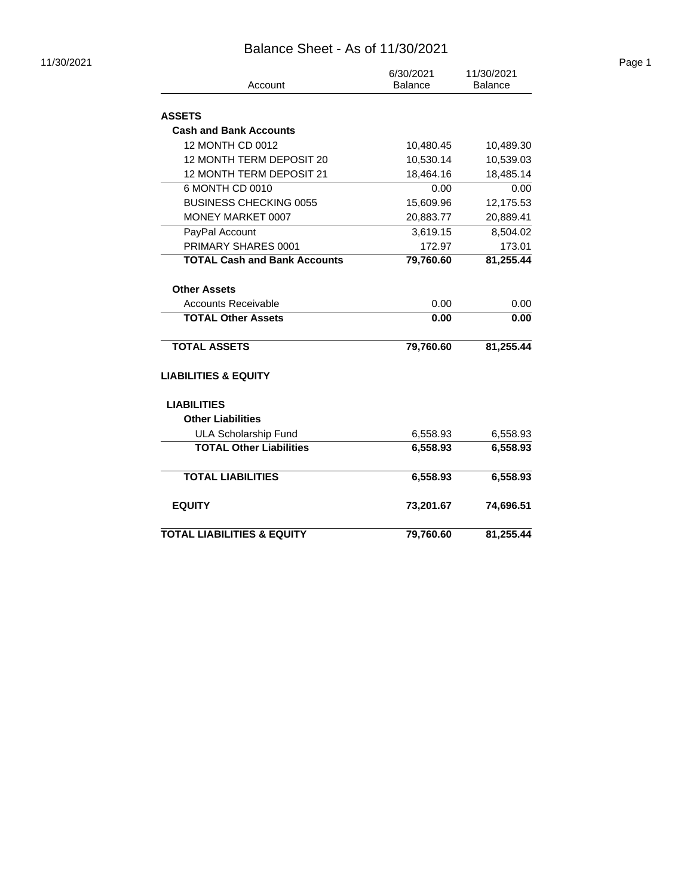| 11/30/2021 |                                       | 6/30/2021      | 11/30/2021     | Page 1 |
|------------|---------------------------------------|----------------|----------------|--------|
|            | Account                               | <b>Balance</b> | <b>Balance</b> |        |
|            | <b>ASSETS</b>                         |                |                |        |
|            | <b>Cash and Bank Accounts</b>         |                |                |        |
|            | 12 MONTH CD 0012                      | 10,480.45      | 10,489.30      |        |
|            | 12 MONTH TERM DEPOSIT 20              | 10,530.14      | 10,539.03      |        |
|            | 12 MONTH TERM DEPOSIT 21              | 18,464.16      | 18,485.14      |        |
|            | 6 MONTH CD 0010                       | 0.00           | 0.00           |        |
|            | <b>BUSINESS CHECKING 0055</b>         | 15,609.96      | 12,175.53      |        |
|            | MONEY MARKET 0007                     | 20,883.77      | 20,889.41      |        |
|            | PayPal Account                        | 3,619.15       | 8,504.02       |        |
|            | PRIMARY SHARES 0001                   | 172.97         | 173.01         |        |
|            | <b>TOTAL Cash and Bank Accounts</b>   | 79,760.60      | 81,255.44      |        |
|            | <b>Other Assets</b>                   |                |                |        |
|            | <b>Accounts Receivable</b>            | 0.00           | 0.00           |        |
|            | <b>TOTAL Other Assets</b>             | 0.00           | 0.00           |        |
|            | <b>TOTAL ASSETS</b>                   | 79,760.60      | 81,255.44      |        |
|            | <b>LIABILITIES &amp; EQUITY</b>       |                |                |        |
|            | <b>LIABILITIES</b>                    |                |                |        |
|            | <b>Other Liabilities</b>              |                |                |        |
|            | <b>ULA Scholarship Fund</b>           | 6,558.93       | 6,558.93       |        |
|            | <b>TOTAL Other Liabilities</b>        | 6,558.93       | 6,558.93       |        |
|            | <b>TOTAL LIABILITIES</b>              | 6,558.93       | 6,558.93       |        |
|            | <b>EQUITY</b>                         | 73,201.67      | 74,696.51      |        |
|            | <b>TOTAL LIABILITIES &amp; EQUITY</b> | 79,760.60      | 81,255.44      |        |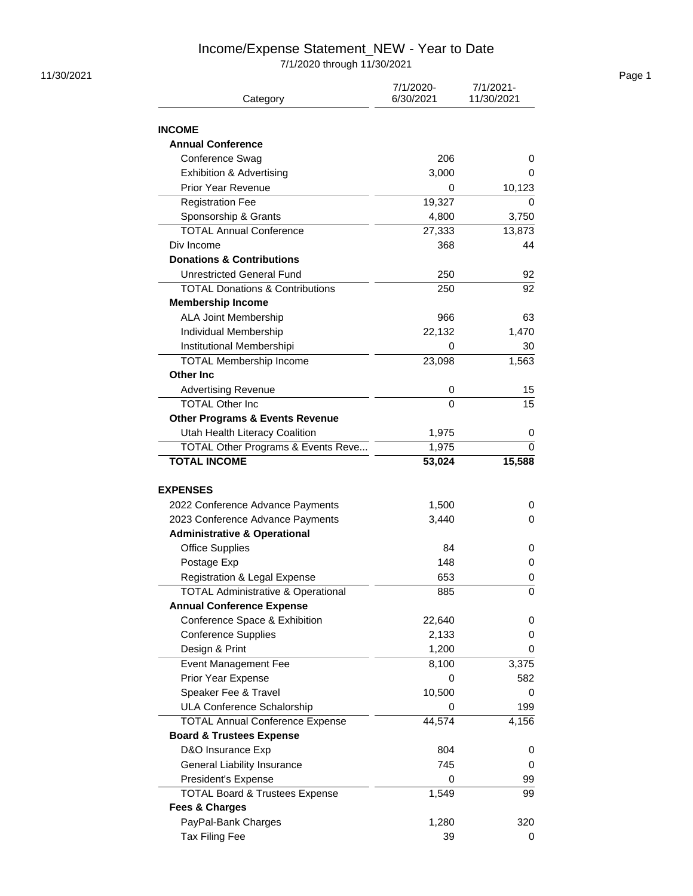# Income/Expense Statement\_NEW - Year to Date

7/1/2020 through 11/30/2021

| Category                                           | 7/1/2020-<br>6/30/2021 | 7/1/2021-<br>11/30/2021 |
|----------------------------------------------------|------------------------|-------------------------|
| <b>INCOME</b>                                      |                        |                         |
| <b>Annual Conference</b>                           |                        |                         |
| Conference Swag                                    | 206                    | 0                       |
| Exhibition & Advertising                           | 3,000                  | 0                       |
| <b>Prior Year Revenue</b>                          | 0                      | 10,123                  |
| <b>Registration Fee</b>                            | 19,327                 | 0                       |
| Sponsorship & Grants                               | 4,800                  | 3,750                   |
| <b>TOTAL Annual Conference</b>                     |                        |                         |
|                                                    | 27,333                 | 13,873                  |
| Div Income<br><b>Donations &amp; Contributions</b> | 368                    | 44                      |
|                                                    |                        |                         |
| <b>Unrestricted General Fund</b>                   | 250                    | 92                      |
| <b>TOTAL Donations &amp; Contributions</b>         | 250                    | 92                      |
| <b>Membership Income</b>                           |                        |                         |
| ALA Joint Membership                               | 966                    | 63                      |
| Individual Membership                              | 22,132                 | 1,470                   |
| Institutional Membershipi                          | 0                      | 30                      |
| <b>TOTAL Membership Income</b>                     | 23,098                 | 1,563                   |
| <b>Other Inc.</b>                                  |                        |                         |
| <b>Advertising Revenue</b>                         | 0                      | 15                      |
| <b>TOTAL Other Inc.</b>                            | 0                      | 15                      |
| <b>Other Programs &amp; Events Revenue</b>         |                        |                         |
| Utah Health Literacy Coalition                     | 1,975                  | 0                       |
| TOTAL Other Programs & Events Reve                 | 1,975                  | 0                       |
| <b>TOTAL INCOME</b>                                | 53,024                 | 15,588                  |
| <b>EXPENSES</b>                                    |                        |                         |
| 2022 Conference Advance Payments                   | 1,500                  | 0                       |
| 2023 Conference Advance Payments                   | 3,440                  | 0                       |
| <b>Administrative &amp; Operational</b>            |                        |                         |
| <b>Office Supplies</b>                             | 84                     | 0                       |
| Postage Exp                                        | 148                    | 0                       |
| Registration & Legal Expense                       | 653                    | 0                       |
| TOTAL Administrative & Operational                 | 885                    | 0                       |
| <b>Annual Conference Expense</b>                   |                        |                         |
| Conference Space & Exhibition                      | 22,640                 | 0                       |
| <b>Conference Supplies</b>                         | 2,133                  | 0                       |
| Design & Print                                     | 1,200                  | 0                       |
| <b>Event Management Fee</b>                        | 8,100                  | 3,375                   |
| Prior Year Expense                                 | 0                      | 582                     |
| Speaker Fee & Travel                               | 10,500                 | 0                       |
| <b>ULA Conference Schalorship</b>                  | 0                      | 199                     |
|                                                    | 44,574                 |                         |
| <b>TOTAL Annual Conference Expense</b>             |                        | 4,156                   |
| <b>Board &amp; Trustees Expense</b>                |                        |                         |
| D&O Insurance Exp                                  | 804                    | 0                       |
| <b>General Liability Insurance</b>                 | 745                    | 0                       |
| President's Expense                                | 0                      | 99                      |
| <b>TOTAL Board &amp; Trustees Expense</b>          | 1,549                  | 99                      |
| <b>Fees &amp; Charges</b>                          |                        |                         |
| PayPal-Bank Charges                                | 1,280                  | 320                     |
| Tax Filing Fee                                     | 39                     | 0                       |

11/30/2021 Page 1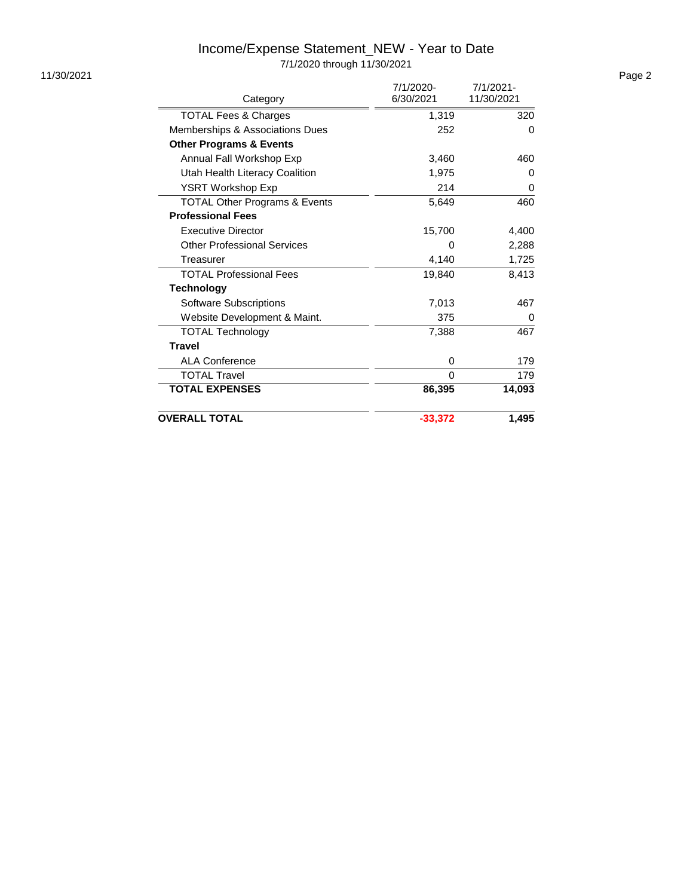# Income/Expense Statement\_NEW - Year to Date

7/1/2020 through 11/30/2021

|                                          | 7/1/2020- | 7/1/2021-  |
|------------------------------------------|-----------|------------|
| Category                                 | 6/30/2021 | 11/30/2021 |
| <b>TOTAL Fees &amp; Charges</b>          | 1,319     | 320        |
| Memberships & Associations Dues          | 252       | 0          |
| <b>Other Programs &amp; Events</b>       |           |            |
| Annual Fall Workshop Exp                 | 3,460     | 460        |
| Utah Health Literacy Coalition           | 1,975     | 0          |
| YSRT Workshop Exp                        | 214       | 0          |
| <b>TOTAL Other Programs &amp; Events</b> | 5,649     | 460        |
| <b>Professional Fees</b>                 |           |            |
| <b>Executive Director</b>                | 15,700    | 4,400      |
| <b>Other Professional Services</b>       | 0         | 2,288      |
| Treasurer                                | 4,140     | 1,725      |
| <b>TOTAL Professional Fees</b>           | 19,840    | 8,413      |
| <b>Technology</b>                        |           |            |
| Software Subscriptions                   | 7,013     | 467        |
| Website Development & Maint.             | 375       | 0          |
| <b>TOTAL Technology</b>                  | 7,388     | 467        |
| <b>Travel</b>                            |           |            |
| <b>ALA Conference</b>                    | 0         | 179        |
| <b>TOTAL Travel</b>                      | 0         | 179        |
| <b>TOTAL EXPENSES</b>                    | 86,395    | 14,093     |
| <b>OVERALL TOTAL</b>                     | $-33,372$ | 1,495      |

11/30/2021 Page 2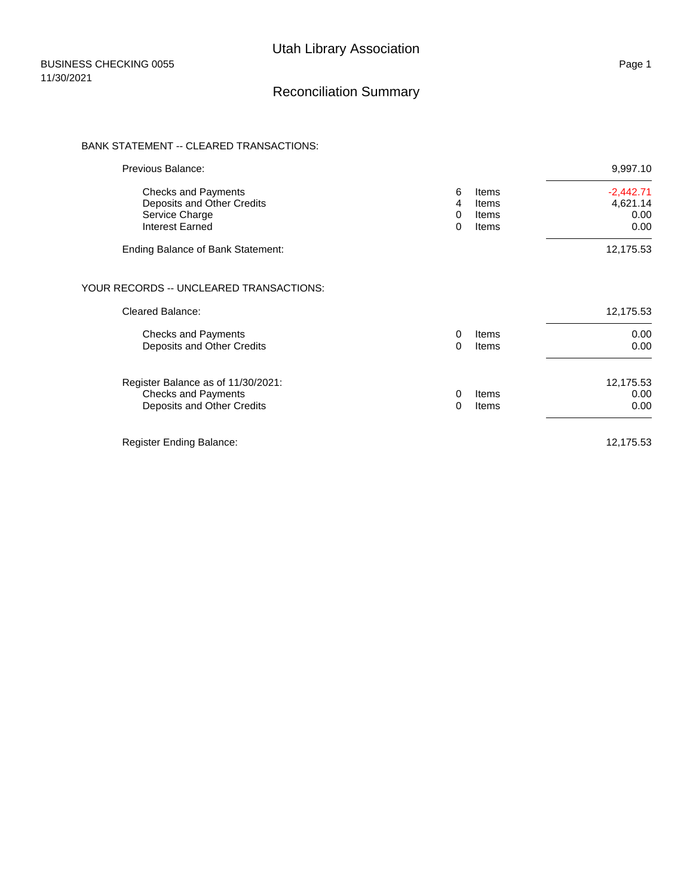### Reconciliation Summary

#### BANK STATEMENT -- CLEARED TRANSACTIONS:

| Previous Balance:                                                                              |                                    |                                  | 9,997.10                                |
|------------------------------------------------------------------------------------------------|------------------------------------|----------------------------------|-----------------------------------------|
| <b>Checks and Payments</b><br>Deposits and Other Credits<br>Service Charge<br>Interest Earned  | 6<br>4<br>$\mathbf{0}$<br>$\Omega$ | Items<br>Items<br>Items<br>Items | $-2,442.71$<br>4,621.14<br>0.00<br>0.00 |
| Ending Balance of Bank Statement:                                                              |                                    |                                  | 12,175.53                               |
| YOUR RECORDS -- UNCLEARED TRANSACTIONS:                                                        |                                    |                                  |                                         |
| <b>Cleared Balance:</b>                                                                        |                                    |                                  | 12,175.53                               |
| <b>Checks and Payments</b><br>Deposits and Other Credits                                       | $\Omega$<br>$\Omega$               | Items<br>Items                   | 0.00<br>0.00                            |
| Register Balance as of 11/30/2021:<br><b>Checks and Payments</b><br>Deposits and Other Credits | $\mathbf{0}$<br>$\Omega$           | Items<br>Items                   | 12,175.53<br>0.00<br>0.00               |
| Register Ending Balance:                                                                       |                                    |                                  | 12,175.53                               |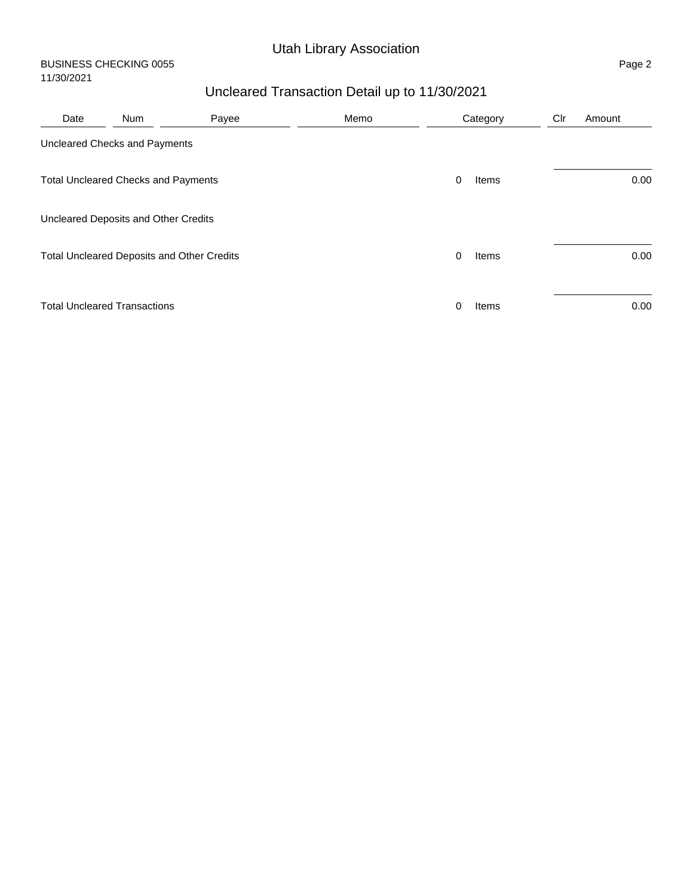# Utah Library Association

#### BUSINESS CHECKING 0055 Page 2 11/30/2021

# Uncleared Transaction Detail up to 11/30/2021

| Date | <b>Num</b>                                 | Payee | Memo |              | Category | Clr | Amount |
|------|--------------------------------------------|-------|------|--------------|----------|-----|--------|
|      | Uncleared Checks and Payments              |       |      |              |          |     |        |
|      | <b>Total Uncleared Checks and Payments</b> |       |      | 0            | Items    |     | 0.00   |
|      | Uncleared Deposits and Other Credits       |       |      |              |          |     |        |
|      | Total Uncleared Deposits and Other Credits |       |      | $\mathbf{0}$ | Items    |     | 0.00   |
|      | <b>Total Uncleared Transactions</b>        |       |      | 0            | Items    |     | 0.00   |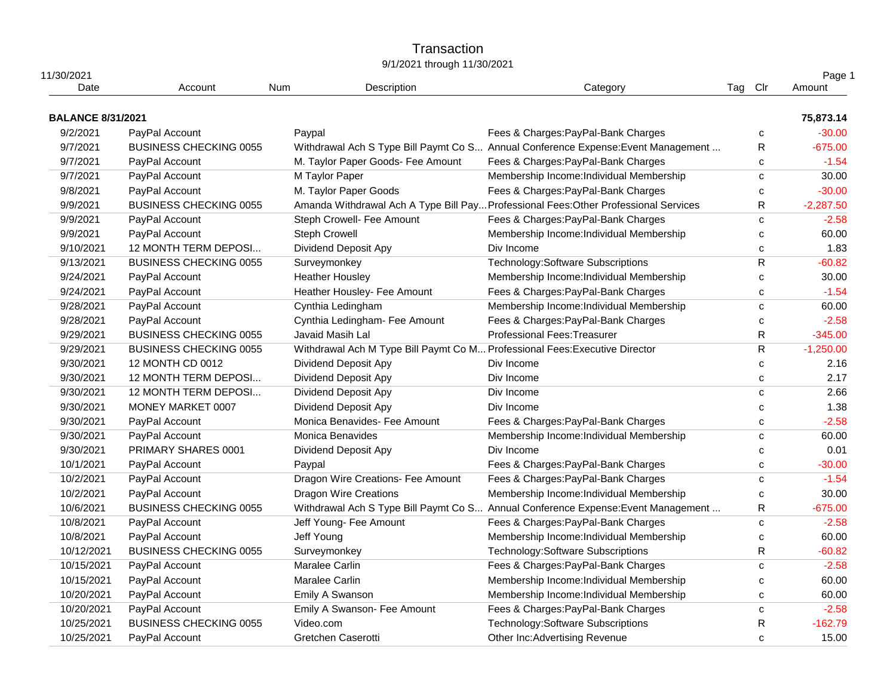### **Transaction** 9/1/2021 through 11/30/2021

| 11/30/2021<br>Date       | Account                       | Num | Description                                                                 | Category                                                                             | Tag Clr |              | Page 1<br>Amount |
|--------------------------|-------------------------------|-----|-----------------------------------------------------------------------------|--------------------------------------------------------------------------------------|---------|--------------|------------------|
| <b>BALANCE 8/31/2021</b> |                               |     |                                                                             |                                                                                      |         |              | 75,873.14        |
|                          |                               |     |                                                                             |                                                                                      |         |              |                  |
| 9/2/2021                 | PayPal Account                |     | Paypal                                                                      | Fees & Charges: PayPal-Bank Charges                                                  |         | с            | $-30.00$         |
| 9/7/2021                 | <b>BUSINESS CHECKING 0055</b> |     |                                                                             | Withdrawal Ach S Type Bill Paymt Co S Annual Conference Expense: Event Management    |         | R            | $-675.00$        |
| 9/7/2021                 | PayPal Account                |     | M. Taylor Paper Goods- Fee Amount                                           | Fees & Charges: PayPal-Bank Charges                                                  |         | c            | $-1.54$          |
| 9/7/2021                 | PayPal Account                |     | M Taylor Paper                                                              | Membership Income: Individual Membership                                             |         | $\mathbf{C}$ | 30.00            |
| 9/8/2021                 | PayPal Account                |     | M. Taylor Paper Goods                                                       | Fees & Charges: PayPal-Bank Charges                                                  |         | C            | $-30.00$         |
| 9/9/2021                 | <b>BUSINESS CHECKING 0055</b> |     |                                                                             | Amanda Withdrawal Ach A Type Bill Pay Professional Fees: Other Professional Services |         | R            | $-2,287.50$      |
| 9/9/2021                 | PayPal Account                |     | Steph Crowell- Fee Amount                                                   | Fees & Charges: PayPal-Bank Charges                                                  |         | C            | $-2.58$          |
| 9/9/2021                 | PayPal Account                |     | <b>Steph Crowell</b>                                                        | Membership Income: Individual Membership                                             |         | c            | 60.00            |
| 9/10/2021                | 12 MONTH TERM DEPOSI          |     | Dividend Deposit Apy                                                        | Div Income                                                                           |         | C            | 1.83             |
| 9/13/2021                | <b>BUSINESS CHECKING 0055</b> |     | Surveymonkey                                                                | Technology: Software Subscriptions                                                   |         | $\mathsf R$  | $-60.82$         |
| 9/24/2021                | PayPal Account                |     | <b>Heather Housley</b>                                                      | Membership Income: Individual Membership                                             |         | с            | 30.00            |
| 9/24/2021                | PayPal Account                |     | Heather Housley- Fee Amount                                                 | Fees & Charges: PayPal-Bank Charges                                                  |         | $\mathbf{C}$ | $-1.54$          |
| 9/28/2021                | PayPal Account                |     | Cynthia Ledingham                                                           | Membership Income: Individual Membership                                             |         | $\mathbf{C}$ | 60.00            |
| 9/28/2021                | PayPal Account                |     | Cynthia Ledingham- Fee Amount                                               | Fees & Charges: PayPal-Bank Charges                                                  |         | C            | $-2.58$          |
| 9/29/2021                | <b>BUSINESS CHECKING 0055</b> |     | Javaid Masih Lal                                                            | Professional Fees: Treasurer                                                         |         | R            | $-345.00$        |
| 9/29/2021                | <b>BUSINESS CHECKING 0055</b> |     | Withdrawal Ach M Type Bill Paymt Co M Professional Fees: Executive Director |                                                                                      |         | $\mathsf R$  | $-1,250.00$      |
| 9/30/2021                | 12 MONTH CD 0012              |     | Dividend Deposit Apy                                                        | Div Income                                                                           |         | $\mathbf{C}$ | 2.16             |
| 9/30/2021                | 12 MONTH TERM DEPOSI          |     | Dividend Deposit Apy                                                        | Div Income                                                                           |         | C            | 2.17             |
| 9/30/2021                | 12 MONTH TERM DEPOSI          |     | Dividend Deposit Apy                                                        | Div Income                                                                           |         | $\mathbf{C}$ | 2.66             |
| 9/30/2021                | MONEY MARKET 0007             |     | Dividend Deposit Apy                                                        | Div Income                                                                           |         | C            | 1.38             |
| 9/30/2021                | PayPal Account                |     | Monica Benavides- Fee Amount                                                | Fees & Charges: PayPal-Bank Charges                                                  |         | $\mathbf{C}$ | $-2.58$          |
| 9/30/2021                | PayPal Account                |     | Monica Benavides                                                            | Membership Income: Individual Membership                                             |         | $\mathbf c$  | 60.00            |
| 9/30/2021                | PRIMARY SHARES 0001           |     | Dividend Deposit Apy                                                        | Div Income                                                                           |         | C            | 0.01             |
| 10/1/2021                | PayPal Account                |     | Paypal                                                                      | Fees & Charges: PayPal-Bank Charges                                                  |         | C            | $-30.00$         |
| 10/2/2021                | PayPal Account                |     | Dragon Wire Creations- Fee Amount                                           | Fees & Charges: PayPal-Bank Charges                                                  |         | C            | $-1.54$          |
| 10/2/2021                | PayPal Account                |     | <b>Dragon Wire Creations</b>                                                | Membership Income: Individual Membership                                             |         | c            | 30.00            |
| 10/6/2021                | <b>BUSINESS CHECKING 0055</b> |     |                                                                             | Withdrawal Ach S Type Bill Paymt Co S Annual Conference Expense: Event Management    |         | R            | $-675.00$        |
| 10/8/2021                | PayPal Account                |     | Jeff Young- Fee Amount                                                      | Fees & Charges: PayPal-Bank Charges                                                  |         | $\mathbf{C}$ | $-2.58$          |
| 10/8/2021                | PayPal Account                |     | Jeff Young                                                                  | Membership Income: Individual Membership                                             |         | $\mathbf{C}$ | 60.00            |
| 10/12/2021               | <b>BUSINESS CHECKING 0055</b> |     | Surveymonkey                                                                | Technology: Software Subscriptions                                                   |         | $\mathsf R$  | $-60.82$         |
| 10/15/2021               | PayPal Account                |     | Maralee Carlin                                                              | Fees & Charges: PayPal-Bank Charges                                                  |         | C            | $-2.58$          |
| 10/15/2021               | PayPal Account                |     | Maralee Carlin                                                              | Membership Income: Individual Membership                                             |         | C            | 60.00            |
| 10/20/2021               | PayPal Account                |     | Emily A Swanson                                                             | Membership Income: Individual Membership                                             |         | C            | 60.00            |
| 10/20/2021               | PayPal Account                |     | Emily A Swanson- Fee Amount                                                 | Fees & Charges: PayPal-Bank Charges                                                  |         | C            | $-2.58$          |
| 10/25/2021               | <b>BUSINESS CHECKING 0055</b> |     | Video.com                                                                   | Technology: Software Subscriptions                                                   |         | R            | $-162.79$        |
| 10/25/2021               | PavPal Account                |     | Gretchen Caserotti                                                          | Other Inc:Advertising Revenue                                                        |         | C            | 15.00            |
|                          |                               |     |                                                                             |                                                                                      |         |              |                  |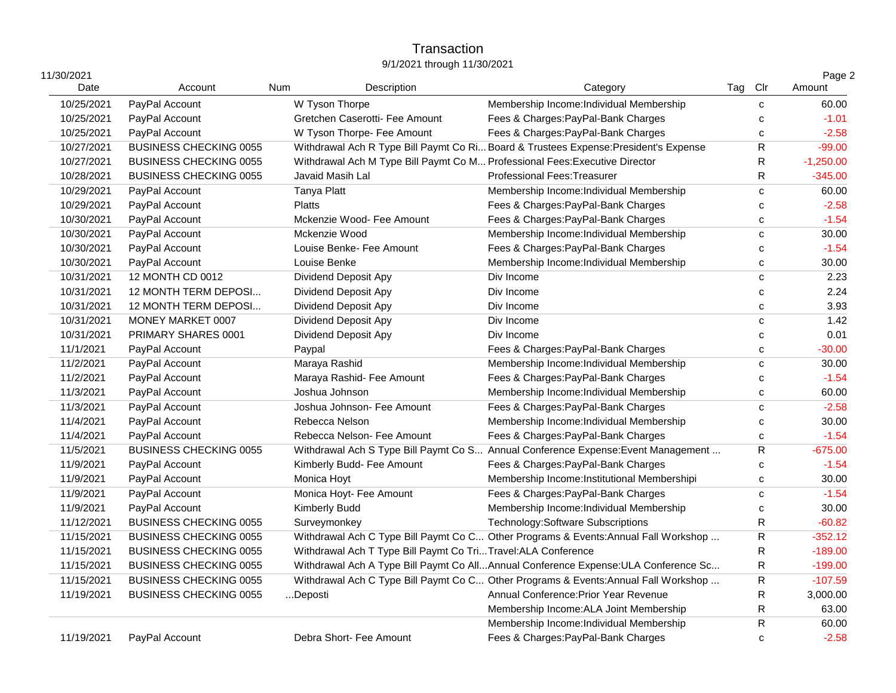### **Transaction** 9/1/2021 through 11/30/2021

| 11/30/2021 |                               |     |                                                                             |                                                                                      |         |              | Page 2      |
|------------|-------------------------------|-----|-----------------------------------------------------------------------------|--------------------------------------------------------------------------------------|---------|--------------|-------------|
| Date       | Account                       | Num | Description                                                                 | Category                                                                             | Tag Clr |              | Amount      |
| 10/25/2021 | PayPal Account                |     | W Tyson Thorpe                                                              | Membership Income: Individual Membership                                             |         | $\mathbf{C}$ | 60.00       |
| 10/25/2021 | PayPal Account                |     | Gretchen Caserotti- Fee Amount                                              | Fees & Charges: PayPal-Bank Charges                                                  |         | C            | $-1.01$     |
| 10/25/2021 | PayPal Account                |     | W Tyson Thorpe- Fee Amount                                                  | Fees & Charges: PayPal-Bank Charges                                                  |         | C            | $-2.58$     |
| 10/27/2021 | <b>BUSINESS CHECKING 0055</b> |     |                                                                             | Withdrawal Ach R Type Bill Paymt Co Ri Board & Trustees Expense: President's Expense |         | R            | $-99.00$    |
| 10/27/2021 | <b>BUSINESS CHECKING 0055</b> |     | Withdrawal Ach M Type Bill Paymt Co M Professional Fees: Executive Director |                                                                                      |         | $\mathsf R$  | $-1,250.00$ |
| 10/28/2021 | <b>BUSINESS CHECKING 0055</b> |     | Javaid Masih Lal                                                            | <b>Professional Fees: Treasurer</b>                                                  |         | $\mathsf R$  | $-345.00$   |
| 10/29/2021 | PayPal Account                |     | <b>Tanya Platt</b>                                                          | Membership Income: Individual Membership                                             |         | $\mathbf{C}$ | 60.00       |
| 10/29/2021 | PayPal Account                |     | <b>Platts</b>                                                               | Fees & Charges: PayPal-Bank Charges                                                  |         | C            | $-2.58$     |
| 10/30/2021 | PayPal Account                |     | Mckenzie Wood- Fee Amount                                                   | Fees & Charges: PayPal-Bank Charges                                                  |         | C            | $-1.54$     |
| 10/30/2021 | PayPal Account                |     | Mckenzie Wood                                                               | Membership Income: Individual Membership                                             |         | $\mathbf{C}$ | 30.00       |
| 10/30/2021 | PayPal Account                |     | Louise Benke- Fee Amount                                                    | Fees & Charges: PayPal-Bank Charges                                                  |         | C            | $-1.54$     |
| 10/30/2021 | PayPal Account                |     | Louise Benke                                                                | Membership Income: Individual Membership                                             |         | C            | 30.00       |
| 10/31/2021 | 12 MONTH CD 0012              |     | Dividend Deposit Apy                                                        | Div Income                                                                           |         | C            | 2.23        |
| 10/31/2021 | 12 MONTH TERM DEPOSI          |     | Dividend Deposit Apy                                                        | Div Income                                                                           |         | C            | 2.24        |
| 10/31/2021 | 12 MONTH TERM DEPOSI          |     | <b>Dividend Deposit Apy</b>                                                 | Div Income                                                                           |         | $\mathbf{C}$ | 3.93        |
| 10/31/2021 | MONEY MARKET 0007             |     | Dividend Deposit Apy                                                        | Div Income                                                                           |         | C            | 1.42        |
| 10/31/2021 | PRIMARY SHARES 0001           |     | Dividend Deposit Apy                                                        | Div Income                                                                           |         | $\mathbf{C}$ | 0.01        |
| 11/1/2021  | PayPal Account                |     | Paypal                                                                      | Fees & Charges: PayPal-Bank Charges                                                  |         | C            | $-30.00$    |
| 11/2/2021  | PayPal Account                |     | Maraya Rashid                                                               | Membership Income: Individual Membership                                             |         | $\mathbf{C}$ | 30.00       |
| 11/2/2021  | PayPal Account                |     | Maraya Rashid- Fee Amount                                                   | Fees & Charges: PayPal-Bank Charges                                                  |         | C            | $-1.54$     |
| 11/3/2021  | PayPal Account                |     | Joshua Johnson                                                              | Membership Income: Individual Membership                                             |         | $\mathbf{C}$ | 60.00       |
| 11/3/2021  | PayPal Account                |     | Joshua Johnson- Fee Amount                                                  | Fees & Charges: PayPal-Bank Charges                                                  |         | C            | $-2.58$     |
| 11/4/2021  | PayPal Account                |     | Rebecca Nelson                                                              | Membership Income: Individual Membership                                             |         | C            | 30.00       |
| 11/4/2021  | PayPal Account                |     | Rebecca Nelson- Fee Amount                                                  | Fees & Charges: PayPal-Bank Charges                                                  |         | C            | $-1.54$     |
| 11/5/2021  | <b>BUSINESS CHECKING 0055</b> |     |                                                                             | Withdrawal Ach S Type Bill Paymt Co S Annual Conference Expense: Event Management    |         | R            | $-675.00$   |
| 11/9/2021  | PayPal Account                |     | Kimberly Budd- Fee Amount                                                   | Fees & Charges: PayPal-Bank Charges                                                  |         | $\mathbf{C}$ | $-1.54$     |
| 11/9/2021  | PayPal Account                |     | Monica Hoyt                                                                 | Membership Income: Institutional Membershipi                                         |         | C            | 30.00       |
| 11/9/2021  | PayPal Account                |     | Monica Hoyt- Fee Amount                                                     | Fees & Charges: PayPal-Bank Charges                                                  |         | $\mathbf{C}$ | $-1.54$     |
| 11/9/2021  | PayPal Account                |     | Kimberly Budd                                                               | Membership Income: Individual Membership                                             |         | $\mathbf{C}$ | 30.00       |
| 11/12/2021 | <b>BUSINESS CHECKING 0055</b> |     | Surveymonkey                                                                | Technology: Software Subscriptions                                                   |         | ${\sf R}$    | $-60.82$    |
| 11/15/2021 | <b>BUSINESS CHECKING 0055</b> |     |                                                                             | Withdrawal Ach C Type Bill Paymt Co C Other Programs & Events: Annual Fall Workshop  |         | ${\sf R}$    | $-352.12$   |
| 11/15/2021 | <b>BUSINESS CHECKING 0055</b> |     | Withdrawal Ach T Type Bill Paymt Co TriTravel:ALA Conference                |                                                                                      |         | R            | $-189.00$   |
| 11/15/2021 | <b>BUSINESS CHECKING 0055</b> |     |                                                                             | Withdrawal Ach A Type Bill Paymt Co AllAnnual Conference Expense: ULA Conference Sc  |         | R            | $-199.00$   |
| 11/15/2021 | <b>BUSINESS CHECKING 0055</b> |     |                                                                             | Withdrawal Ach C Type Bill Paymt Co C Other Programs & Events: Annual Fall Workshop  |         | R            | $-107.59$   |
| 11/19/2021 | <b>BUSINESS CHECKING 0055</b> |     | Deposti                                                                     | Annual Conference: Prior Year Revenue                                                |         | $\mathsf R$  | 3,000.00    |
|            |                               |     |                                                                             | Membership Income: ALA Joint Membership                                              |         | ${\sf R}$    | 63.00       |
|            |                               |     |                                                                             | Membership Income: Individual Membership                                             |         | ${\sf R}$    | 60.00       |
| 11/19/2021 | PayPal Account                |     | Debra Short- Fee Amount                                                     | Fees & Charges: PayPal-Bank Charges                                                  |         | C            | $-2.58$     |
|            |                               |     |                                                                             |                                                                                      |         |              |             |